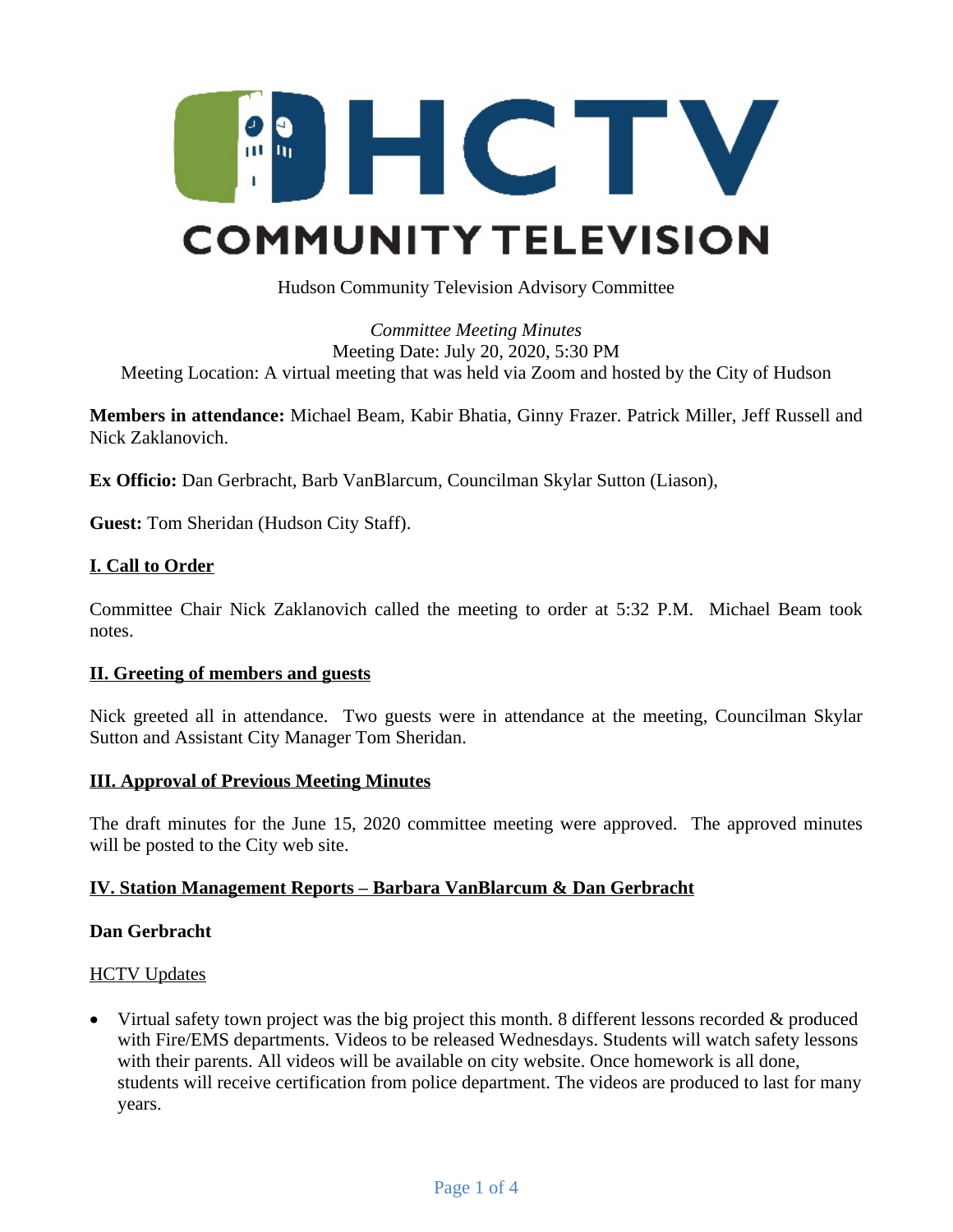

Hudson Community Television Advisory Committee

### *Committee Meeting Minutes* Meeting Date: July 20, 2020, 5:30 PM Meeting Location: A virtual meeting that was held via Zoom and hosted by the City of Hudson

**Members in attendance:** Michael Beam, Kabir Bhatia, Ginny Frazer. Patrick Miller, Jeff Russell and Nick Zaklanovich.

**Ex Officio:** Dan Gerbracht, Barb VanBlarcum, Councilman Skylar Sutton (Liason),

**Guest:** Tom Sheridan (Hudson City Staff).

### **I. Call to Order**

Committee Chair Nick Zaklanovich called the meeting to order at 5:32 P.M. Michael Beam took notes.

### **II. Greeting of members and guests**

Nick greeted all in attendance. Two guests were in attendance at the meeting, Councilman Skylar Sutton and Assistant City Manager Tom Sheridan.

### **III. Approval of Previous Meeting Minutes**

The draft minutes for the June 15, 2020 committee meeting were approved. The approved minutes will be posted to the City web site.

### **IV. Station Management Reports – Barbara VanBlarcum & Dan Gerbracht**

### **Dan Gerbracht**

### **HCTV Updates**

• Virtual safety town project was the big project this month. 8 different lessons recorded  $\&$  produced with Fire/EMS departments. Videos to be released Wednesdays. Students will watch safety lessons with their parents. All videos will be available on city website. Once homework is all done, students will receive certification from police department. The videos are produced to last for many years.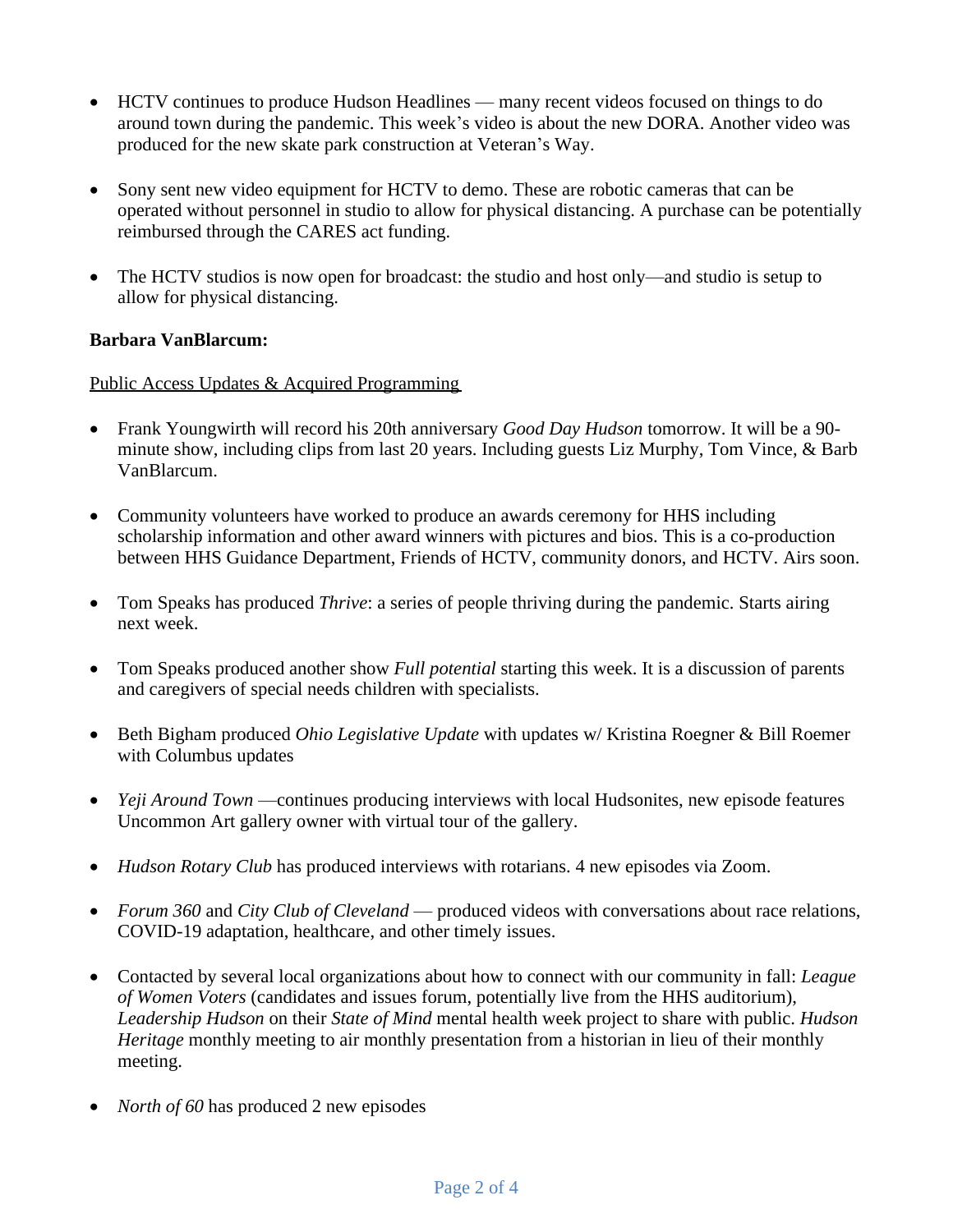- HCTV continues to produce Hudson Headlines many recent videos focused on things to do around town during the pandemic. This week's video is about the new DORA. Another video was produced for the new skate park construction at Veteran's Way.
- Sony sent new video equipment for HCTV to demo. These are robotic cameras that can be operated without personnel in studio to allow for physical distancing. A purchase can be potentially reimbursed through the CARES act funding.
- The HCTV studios is now open for broadcast: the studio and host only—and studio is setup to allow for physical distancing.

## **Barbara VanBlarcum:**

### Public Access Updates & Acquired Programming

- Frank Youngwirth will record his 20th anniversary *Good Day Hudson* tomorrow. It will be a 90 minute show, including clips from last 20 years. Including guests Liz Murphy, Tom Vince, & Barb VanBlarcum.
- Community volunteers have worked to produce an awards ceremony for HHS including scholarship information and other award winners with pictures and bios. This is a co-production between HHS Guidance Department, Friends of HCTV, community donors, and HCTV. Airs soon.
- Tom Speaks has produced *Thrive*: a series of people thriving during the pandemic. Starts airing next week.
- Tom Speaks produced another show *Full potential* starting this week. It is a discussion of parents and caregivers of special needs children with specialists.
- Beth Bigham produced *Ohio Legislative Update* with updates w/ Kristina Roegner & Bill Roemer with Columbus updates
- *Yeji Around Town* —continues producing interviews with local Hudsonites, new episode features Uncommon Art gallery owner with virtual tour of the gallery.
- *Hudson Rotary Club* has produced interviews with rotarians. 4 new episodes via Zoom.
- *Forum 360* and *City Club of Cleveland* produced videos with conversations about race relations, COVID-19 adaptation, healthcare, and other timely issues.
- Contacted by several local organizations about how to connect with our community in fall: *League of Women Voters* (candidates and issues forum, potentially live from the HHS auditorium), *Leadership Hudson* on their *State of Mind* mental health week project to share with public. *Hudson Heritage* monthly meeting to air monthly presentation from a historian in lieu of their monthly meeting.
- *North of 60* has produced 2 new episodes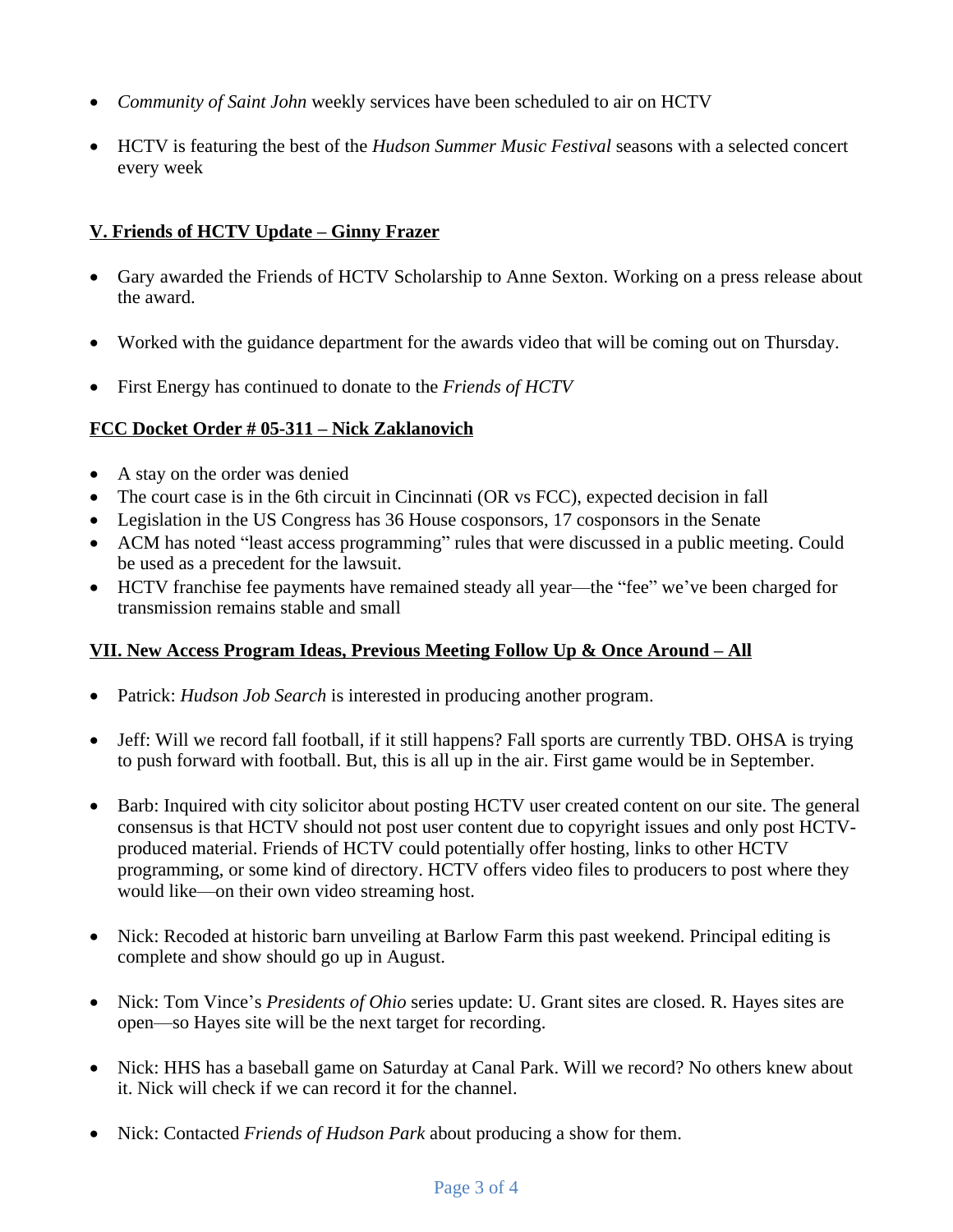- *Community of Saint John* weekly services have been scheduled to air on HCTV
- HCTV is featuring the best of the *Hudson Summer Music Festival* seasons with a selected concert every week

# **V. Friends of HCTV Update – Ginny Frazer**

- Gary awarded the Friends of HCTV Scholarship to Anne Sexton. Working on a press release about the award.
- Worked with the guidance department for the awards video that will be coming out on Thursday.
- First Energy has continued to donate to the *Friends of HCTV*

## **FCC Docket Order # 05-311 – Nick Zaklanovich**

- A stay on the order was denied
- The court case is in the 6th circuit in Cincinnati (OR vs FCC), expected decision in fall
- Legislation in the US Congress has 36 House cosponsors, 17 cosponsors in the Senate
- ACM has noted "least access programming" rules that were discussed in a public meeting. Could be used as a precedent for the lawsuit.
- HCTV franchise fee payments have remained steady all year—the "fee" we've been charged for transmission remains stable and small

## **VII. New Access Program Ideas, Previous Meeting Follow Up & Once Around – All**

- Patrick: *Hudson Job Search* is interested in producing another program.
- Jeff: Will we record fall football, if it still happens? Fall sports are currently TBD. OHSA is trying to push forward with football. But, this is all up in the air. First game would be in September.
- Barb: Inquired with city solicitor about posting HCTV user created content on our site. The general consensus is that HCTV should not post user content due to copyright issues and only post HCTVproduced material. Friends of HCTV could potentially offer hosting, links to other HCTV programming, or some kind of directory. HCTV offers video files to producers to post where they would like—on their own video streaming host.
- Nick: Recoded at historic barn unveiling at Barlow Farm this past weekend. Principal editing is complete and show should go up in August.
- Nick: Tom Vince's *Presidents of Ohio* series update: U. Grant sites are closed. R. Hayes sites are open—so Hayes site will be the next target for recording.
- Nick: HHS has a baseball game on Saturday at Canal Park. Will we record? No others knew about it. Nick will check if we can record it for the channel.
- Nick: Contacted *Friends of Hudson Park* about producing a show for them.